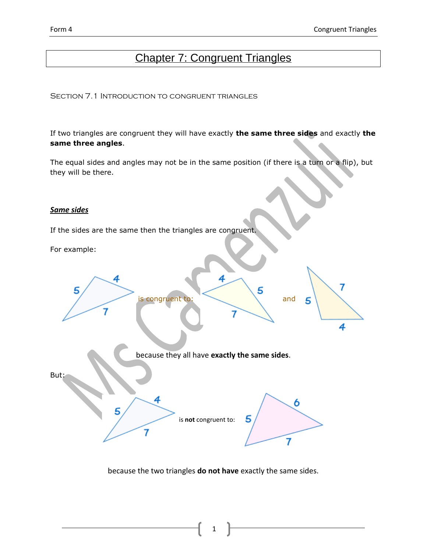# Chapter 7: Congruent Triangles

Section 7.1 Introduction to congruent triangles

If two triangles are congruent they will have exactly **the same three sides** and exactly **the same three angles**.

The equal sides and angles may not be in the same position (if there is a turn or a flip), but they will be there.

## *Same sides*

If the sides are the same then the triangles are congruent.

For example:



because the two triangles **do not have** exactly the same sides.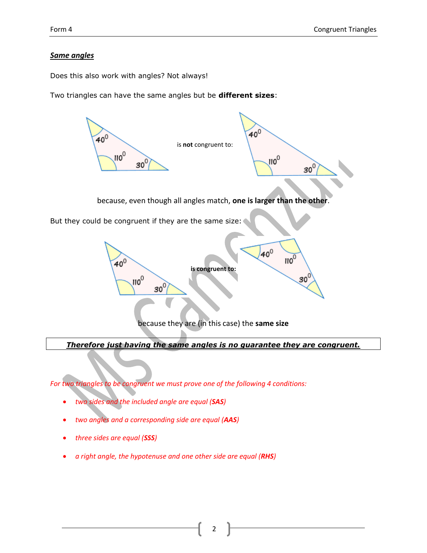# *Same angles*

Does this also work with angles? Not always!

Two triangles can have the same angles but be **different sizes**:



*Therefore just having the same angles is no guarantee they are congruent.*

*For two triangles to be congruent we must prove one of the following 4 conditions:*

- *two sides and the included angle are equal (SAS)*
- *two angles and a corresponding side are equal (AAS)*
- *three sides are equal (SSS)*
- *a right angle, the hypotenuse and one other side are equal (RHS)*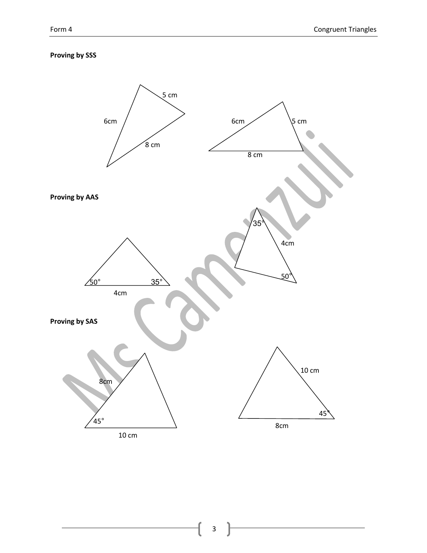# **Proving by SSS**

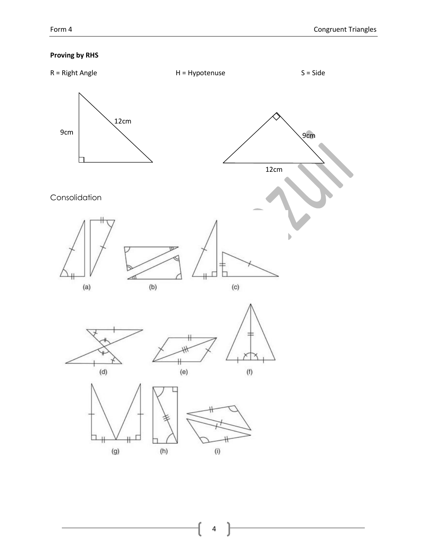# **Proving by RHS**

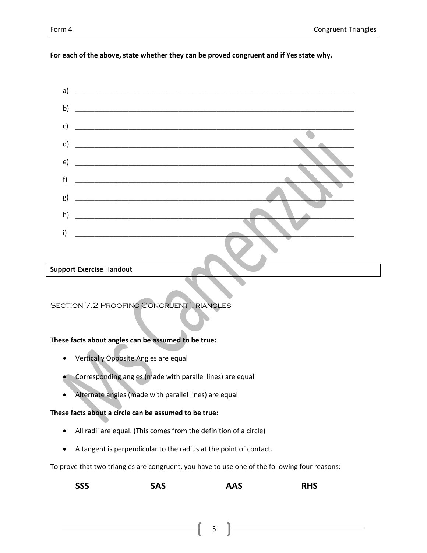#### For each of the above, state whether they can be proved congruent and if Yes state why.



#### **Support Exercise Handout**

**SECTION 7.2 PROOFING CONGRUENT TRIANGLES** 

#### These facts about angles can be assumed to be true:

- Vertically Opposite Angles are equal  $\bullet$
- Corresponding angles (made with parallel lines) are equal
- Alternate angles (made with parallel lines) are equal

## These facts about a circle can be assumed to be true:

- All radii are equal. (This comes from the definition of a circle)
- A tangent is perpendicular to the radius at the point of contact.

To prove that two triangles are congruent, you have to use one of the following four reasons:

| <b>SSS</b> |  | <b>SAS</b> | <b>AAS</b> | <b>RHS</b> |
|------------|--|------------|------------|------------|
|------------|--|------------|------------|------------|